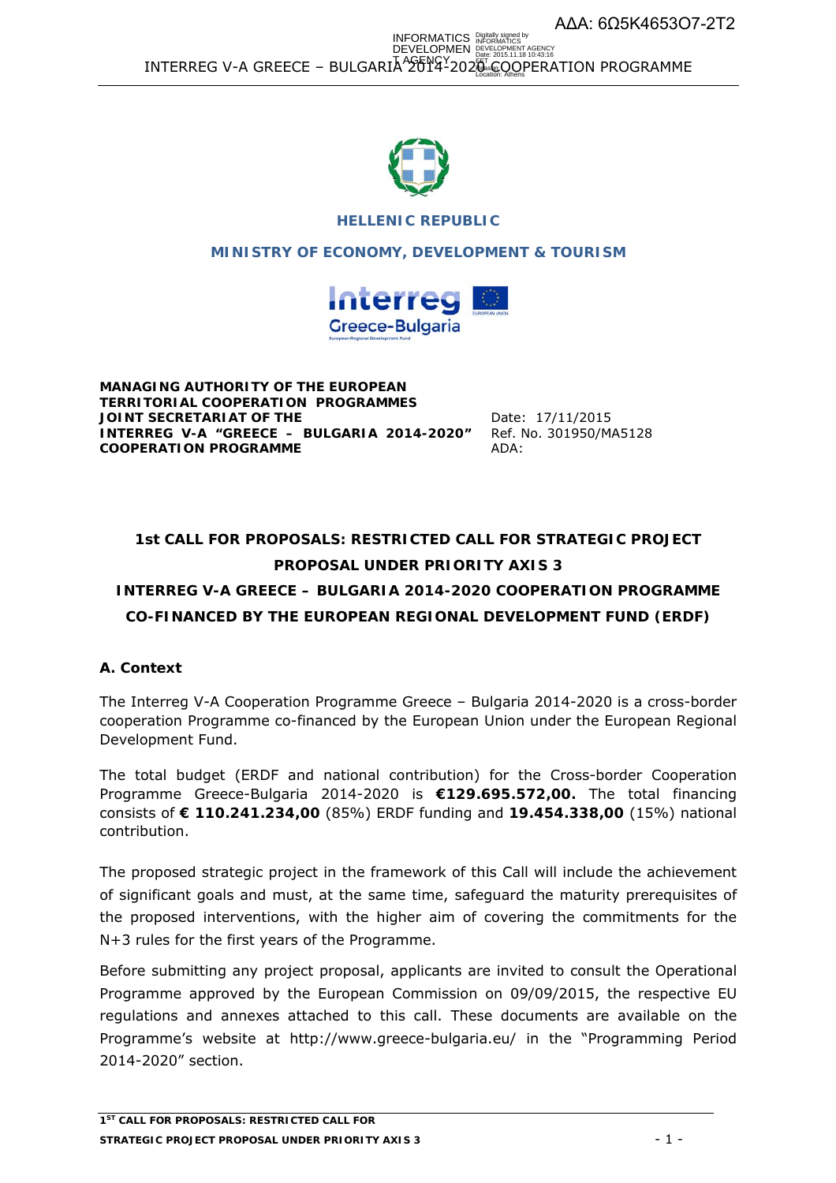ΑΔΑ: 6Ω5Κ4653Ο7-2Τ2

 $\texttt{INTERREG V-A GREECE - BULGARIA}^\text{A}$  $\texttt{26}^\text{B}$  $\texttt{Y4-202}^\text{B}$   $\texttt{CQQPERATION PROGRAMME}$ INFORMATICS DEVELOPMEN Digitally signed by INFORMATICS DEVELOPMENT AGENCY Date: 2015.11.18 10:43:16



## **HELLENIC REPUBLIC**

**MINISTRY OF ECONOMY, DEVELOPMENT & TOURISM**



**MANAGING AUTHORITY OF THE EUROPEAN TERRITORIAL COOPERATION PROGRAMMES JOINT SECRETARIAT OF THE**  Date: 17/11/2015 **INTERREG V-A "GREECE – BULGARIA 2014-2020" COOPERATION PROGRAMME** 

 Ref. No. 301950/ΜΑ5128 ΑDΑ:

# **1st CALL FOR PROPOSALS: RESTRICTED CALL FOR STRATEGIC PROJECT PROPOSAL UNDER PRIORITY AXIS 3**

# **INTERREG V-A GREECE – BULGARIA 2014-2020 COOPERATION PROGRAMME CO-FINANCED BY THE EUROPEAN REGIONAL DEVELOPMENT FUND (ERDF)**

# **A. Context**

The Interreg V-A Cooperation Programme Greece – Bulgaria 2014-2020 is a cross-border cooperation Programme co-financed by the European Union under the European Regional Development Fund.

The total budget (ERDF and national contribution) for the Cross-border Cooperation Programme Greece-Bulgaria 2014-2020 is **€129.695.572,00.** The total financing consists of **€ 110.241.234,00** (85%) ERDF funding and **19.454.338,00** (15%) national contribution.

The proposed strategic project in the framework of this Call will include the achievement of significant goals and must, at the same time, safeguard the maturity prerequisites of the proposed interventions, with the higher aim of covering the commitments for the N+3 rules for the first years of the Programme.

Before submitting any project proposal, applicants are invited to consult the Operational Programme approved by the European Commission on 09/09/2015, the respective EU regulations and annexes attached to this call. These documents are available on the Programme's website at http://www.greece-bulgaria.eu/ in the "Programming Period 2014-2020" section.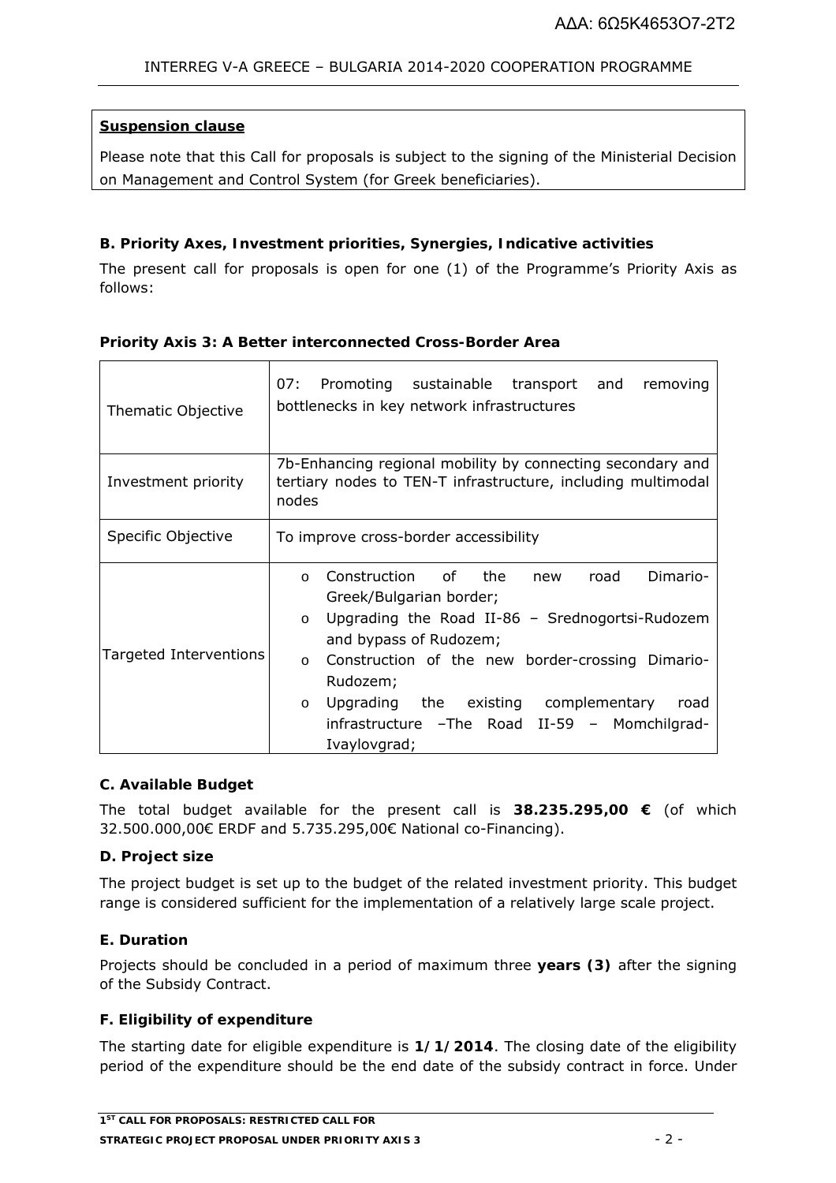## **Suspension clause**

Please note that this Call for proposals is subject to the signing of the Ministerial Decision on Management and Control System (for Greek beneficiaries).

## **B. Priority Axes, Investment priorities, Synergies, Indicative activities**

The present call for proposals is open for one (1) of the Programme's Priority Axis as follows:

| Thematic Objective     | 07:<br>Promoting sustainable transport and<br>removing<br>bottlenecks in key network infrastructures                                                                                                                                                                                                                                                                                  |  |
|------------------------|---------------------------------------------------------------------------------------------------------------------------------------------------------------------------------------------------------------------------------------------------------------------------------------------------------------------------------------------------------------------------------------|--|
| Investment priority    | 7b-Enhancing regional mobility by connecting secondary and<br>tertiary nodes to TEN-T infrastructure, including multimodal<br>nodes                                                                                                                                                                                                                                                   |  |
| Specific Objective     | To improve cross-border accessibility                                                                                                                                                                                                                                                                                                                                                 |  |
| Targeted Interventions | Construction of the<br>road<br>Dimario-<br>new<br>$\Omega$<br>Greek/Bulgarian border;<br>Upgrading the Road II-86 - Srednogortsi-Rudozem<br>$\circ$<br>and bypass of Rudozem;<br>Construction of the new border-crossing Dimario-<br>$\circ$<br>Rudozem;<br>Upgrading the existing complementary<br>road<br>$\circ$<br>infrastructure - The Road II-59 - Momchilgrad-<br>Ivaylovgrad; |  |

### **Priority Axis 3: A Better interconnected Cross-Border Area**

### **C. Available Budget**

The total budget available for the present call is **38.235.295,00 €** (of which 32.500.000,00€ ERDF and 5.735.295,00€ National co-Financing).

### **D. Project size**

The project budget is set up to the budget of the related investment priority. This budget range is considered sufficient for the implementation of a relatively large scale project.

### **E. Duration**

Projects should be concluded in a period of maximum three **years (3)** after the signing of the Subsidy Contract.

## **F. Eligibility of expenditure**

The starting date for eligible expenditure is **1/1/2014**. The closing date of the eligibility period of the expenditure should be the end date of the subsidy contract in force. Under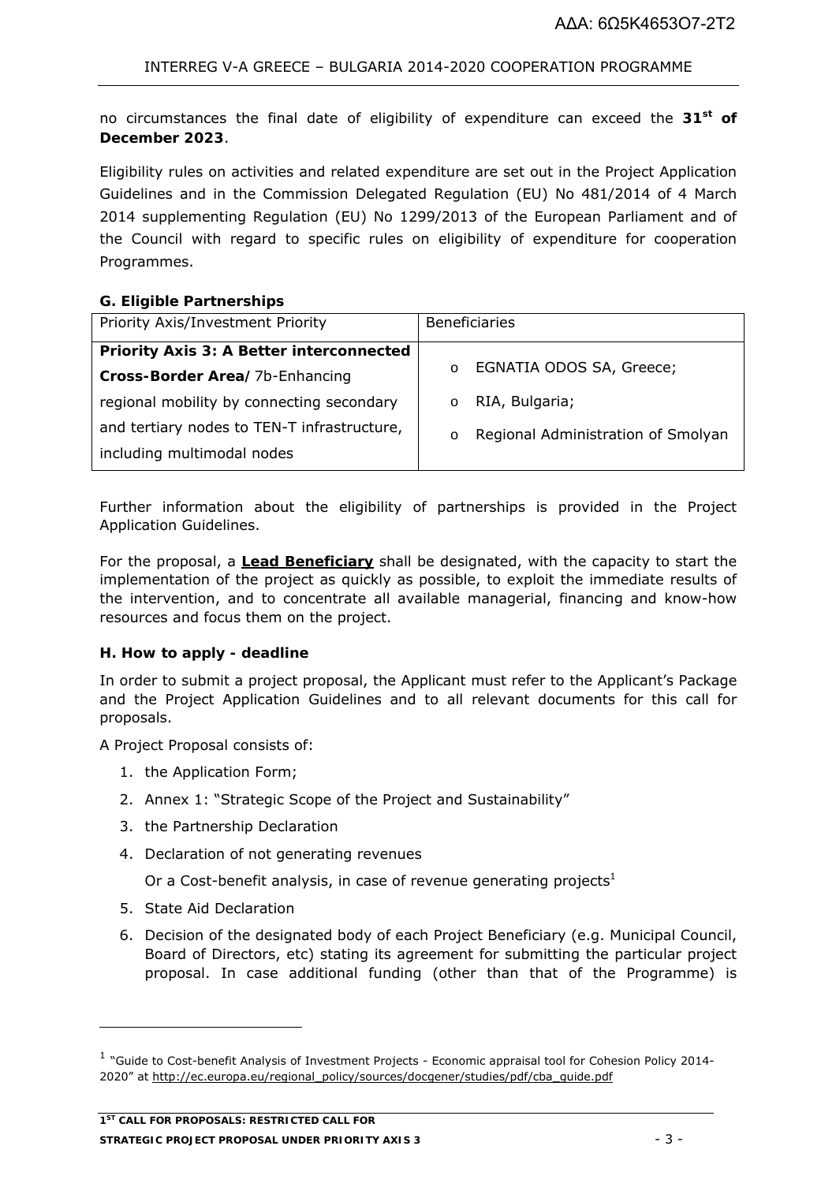no circumstances the final date of eligibility of expenditure can exceed the **31st of December 2023**.

Eligibility rules on activities and related expenditure are set out in the Project Application Guidelines and in the Commission Delegated Regulation (EU) No 481/2014 of 4 March 2014 supplementing Regulation (EU) No 1299/2013 of the European Parliament and of the Council with regard to specific rules on eligibility of expenditure for cooperation Programmes.

## **G. Eligible Partnerships**

| Priority Axis/Investment Priority               | <b>Beneficiaries</b>                          |
|-------------------------------------------------|-----------------------------------------------|
| <b>Priority Axis 3: A Better interconnected</b> |                                               |
| Cross-Border Area/7b-Enhancing                  | EGNATIA ODOS SA, Greece;<br>$\circ$           |
| regional mobility by connecting secondary       | RIA, Bulgaria;                                |
| and tertiary nodes to TEN-T infrastructure,     | Regional Administration of Smolyan<br>$\circ$ |
| including multimodal nodes                      |                                               |

Further information about the eligibility of partnerships is provided in the Project Application Guidelines.

For the proposal, a **Lead Beneficiary** shall be designated, with the capacity to start the implementation of the project as quickly as possible, to exploit the immediate results of the intervention, and to concentrate all available managerial, financing and know-how resources and focus them on the project.

## **H. How to apply - deadline**

In order to submit a project proposal, the Applicant must refer to the Applicant's Package and the Project Application Guidelines and to all relevant documents for this call for proposals.

A Project Proposal consists of:

- 1. the Application Form;
- 2. Annex 1: "Strategic Scope of the Project and Sustainability"
- 3. the Partnership Declaration
- 4. Declaration of not generating revenues

Or a Cost-benefit analysis, in case of revenue generating projects $<sup>1</sup>$ </sup>

5. State Aid Declaration

6. Decision of the designated body of each Project Beneficiary (e.g. Municipal Council, Board of Directors, etc) stating its agreement for submitting the particular project proposal. In case additional funding (other than that of the Programme) is

<sup>&</sup>lt;sup>1</sup> "Guide to Cost-benefit Analysis of Investment Projects - Economic appraisal tool for Cohesion Policy 2014-2020" at http://ec.europa.eu/regional\_policy/sources/docgener/studies/pdf/cba\_guide.pdf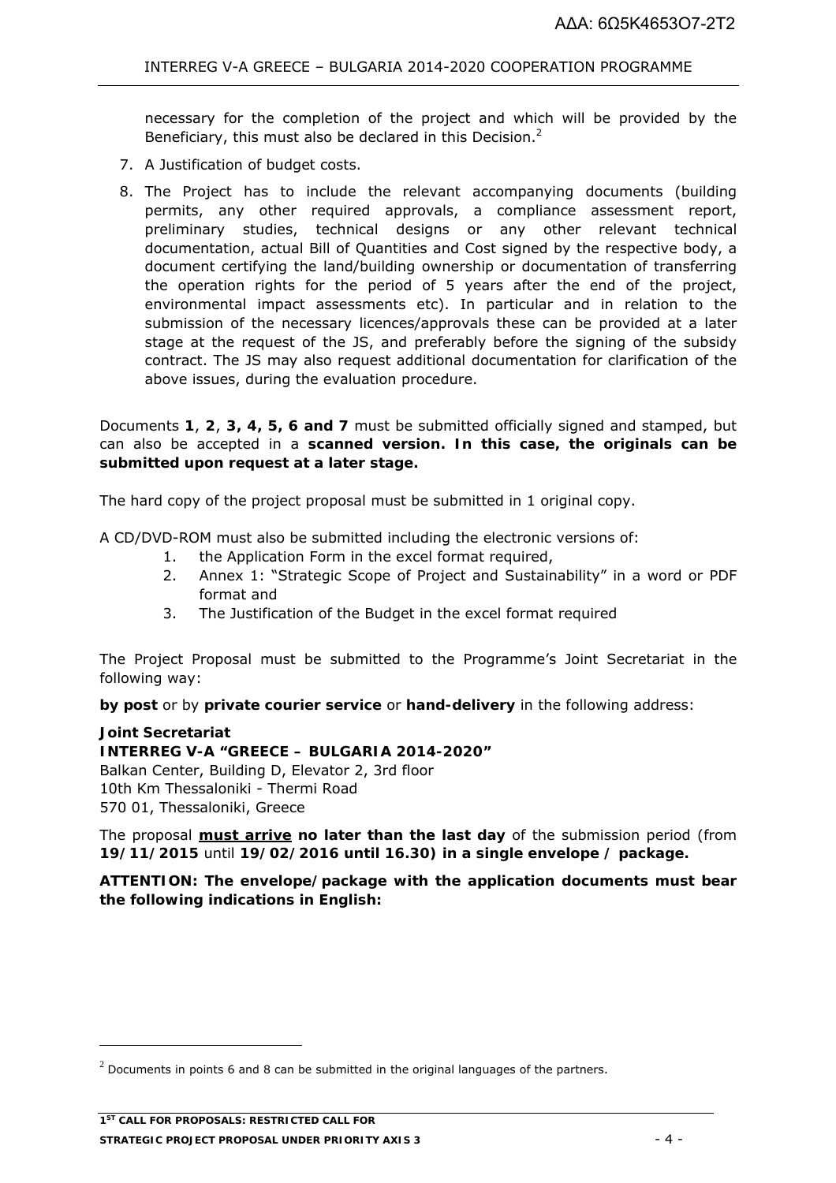necessary for the completion of the project and which will be provided by the Beneficiary, this must also be declared in this Decision.<sup>2</sup>

- 7. A Justification of budget costs.
- 8. The Project has to include the relevant accompanying documents (building permits, any other required approvals, a compliance assessment report, preliminary studies, technical designs or any other relevant technical documentation, actual Bill of Quantities and Cost signed by the respective body, a document certifying the land/building ownership or documentation of transferring the operation rights for the period of 5 years after the end of the project, environmental impact assessments etc). In particular and in relation to the submission of the necessary licences/approvals these can be provided at a later stage at the request of the JS, and preferably before the signing of the subsidy contract. The JS may also request additional documentation for clarification of the above issues, during the evaluation procedure.

Documents **1**, **2**, **3, 4, 5, 6 and 7** must be submitted officially signed and stamped, but can also be accepted in a **scanned version. In this case, the originals can be submitted upon request at a later stage.** 

The hard copy of the project proposal must be submitted in 1 original copy.

A CD/DVD-ROM must also be submitted including the electronic versions of:

- 1. the Application Form in the excel format required,
- 2. Annex 1: "Strategic Scope of Project and Sustainability" in a word or PDF format and
- 3. The Justification of the Budget in the excel format required

The Project Proposal must be submitted to the Programme's Joint Secretariat in the following way:

**by post** or by **private courier service** or **hand-delivery** in the following address:

### **Joint Secretariat**

-

### **INTERREG V-A "GREECE – BULGARIA 2014-2020"**

Balkan Center, Building D, Elevator 2, 3rd floor 10th Km Thessaloniki - Thermi Road 570 01, Thessaloniki, Greece

The proposal **must arrive no later than the last day** of the submission period (from **19/11/2015** until **19/02/2016 until 16.30) in a single envelope / package.** 

**ATTENTION: The envelope/package with the application documents must bear the following indications in English:** 

 $2$  Documents in points 6 and 8 can be submitted in the original languages of the partners.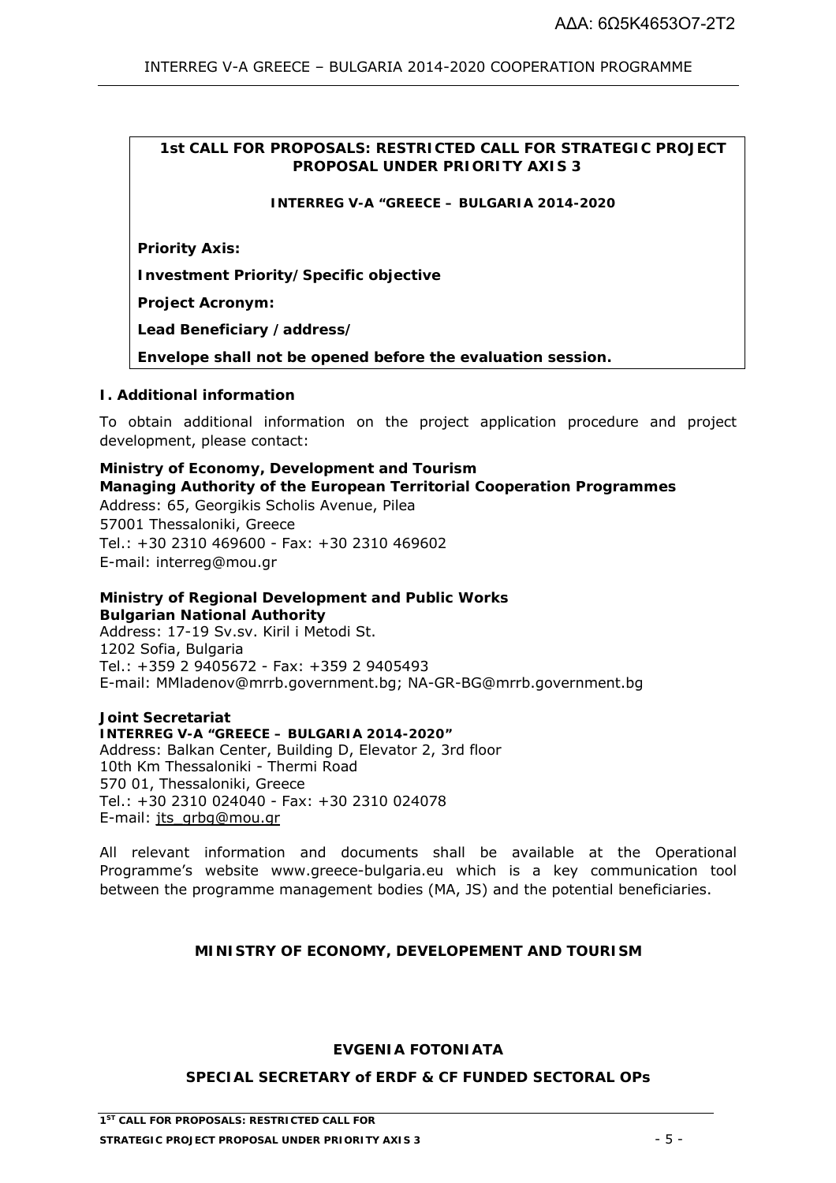## **1st CALL FOR PROPOSALS: RESTRICTED CALL FOR STRATEGIC PROJECT PROPOSAL UNDER PRIORITY AXIS 3**

**INTERREG V-A "GREECE – BULGARIA 2014-2020**

**Priority Axis:** 

**Investment Priority/Specific objective** 

**Project Acronym:** 

**Lead Beneficiary /address/** 

**Envelope shall not be opened before the evaluation session.** 

### **I. Additional information**

To obtain additional information on the project application procedure and project development, please contact:

**Ministry of Economy, Development and Tourism Managing Authority of the European Territorial Cooperation Programmes**  Address: 65, Georgikis Scholis Avenue, Pilea 57001 Thessaloniki, Greece Tel.: +30 2310 469600 - Fax: +30 2310 469602 E-mail: interreg@mou.gr

# **Ministry of Regional Development and Public Works Bulgarian National Authority**

Address: 17-19 Sv.sv. Kiril i Metodi St. 1202 Sofia, Βulgaria Tel.: +359 2 9405672 - Fax: +359 2 9405493 E-mail: MMladenov@mrrb.government.bg; NA-GR-BG@mrrb.government.bg

**Joint Secretariat INTERREG V-A "GREECE – BULGARIA 2014-2020"**  Address: Balkan Center, Building D, Elevator 2, 3rd floor 10th Km Thessaloniki - Thermi Road 570 01, Thessaloniki, Greece Tel.: +30 2310 024040 - Fax: +30 2310 024078 E-mail: jts\_grbg@mou.gr

All relevant information and documents shall be available at the Operational Programme's website www.greece-bulgaria.eu which is a key communication tool between the programme management bodies (MA, JS) and the potential beneficiaries.

### **MINISTRY OF ECONOMY, DEVELOPEMENT AND TOURISM**

### **EVGENIA FOTONIATA**

### **SPECIAL SECRETARY of ERDF & CF FUNDED SECTORAL OPs**